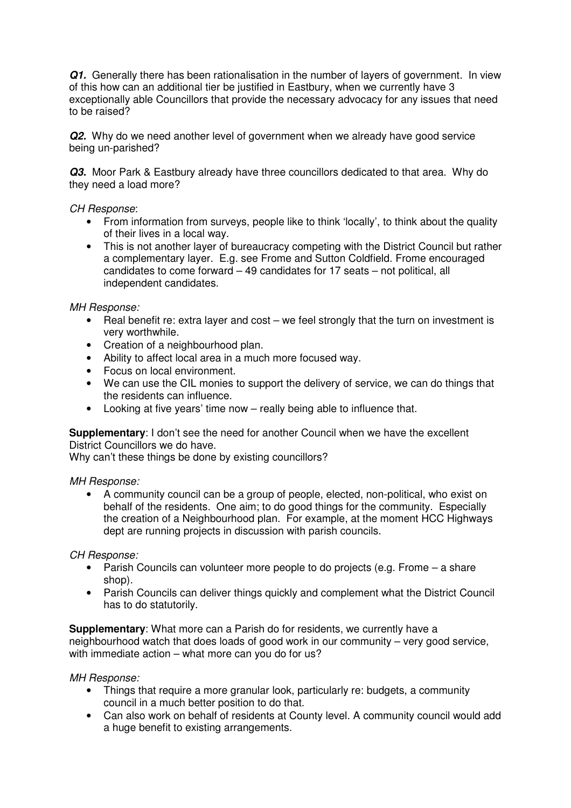**Q1.** Generally there has been rationalisation in the number of layers of government. In view of this how can an additional tier be justified in Eastbury, when we currently have 3 exceptionally able Councillors that provide the necessary advocacy for any issues that need to be raised?

**Q2.** Why do we need another level of government when we already have good service being un-parished?

**Q3.** Moor Park & Eastbury already have three councillors dedicated to that area. Why do they need a load more?

## *CH Response*:

- From information from surveys, people like to think 'locally', to think about the quality of their lives in a local way.
- This is not another layer of bureaucracy competing with the District Council but rather a complementary layer. E.g. see Frome and Sutton Coldfield. Frome encouraged candidates to come forward – 49 candidates for 17 seats – not political, all independent candidates.

# *MH Response:*

- Real benefit re: extra layer and cost we feel strongly that the turn on investment is very worthwhile.
- Creation of a neighbourhood plan.
- Ability to affect local area in a much more focused way.
- Focus on local environment.
- We can use the CIL monies to support the delivery of service, we can do things that the residents can influence.
- Looking at five years' time now really being able to influence that.

## **Supplementary**: I don't see the need for another Council when we have the excellent District Councillors we do have.

Why can't these things be done by existing councillors?

## *MH Response:*

• A community council can be a group of people, elected, non-political, who exist on behalf of the residents. One aim; to do good things for the community. Especially the creation of a Neighbourhood plan. For example, at the moment HCC Highways dept are running projects in discussion with parish councils.

## *CH Response:*

- Parish Councils can volunteer more people to do projects (e.g. Frome a share shop).
- Parish Councils can deliver things quickly and complement what the District Council has to do statutorily.

**Supplementary**: What more can a Parish do for residents, we currently have a neighbourhood watch that does loads of good work in our community – very good service, with immediate action – what more can you do for us?

## *MH Response:*

- Things that require a more granular look, particularly re: budgets, a community council in a much better position to do that.
- Can also work on behalf of residents at County level. A community council would add a huge benefit to existing arrangements.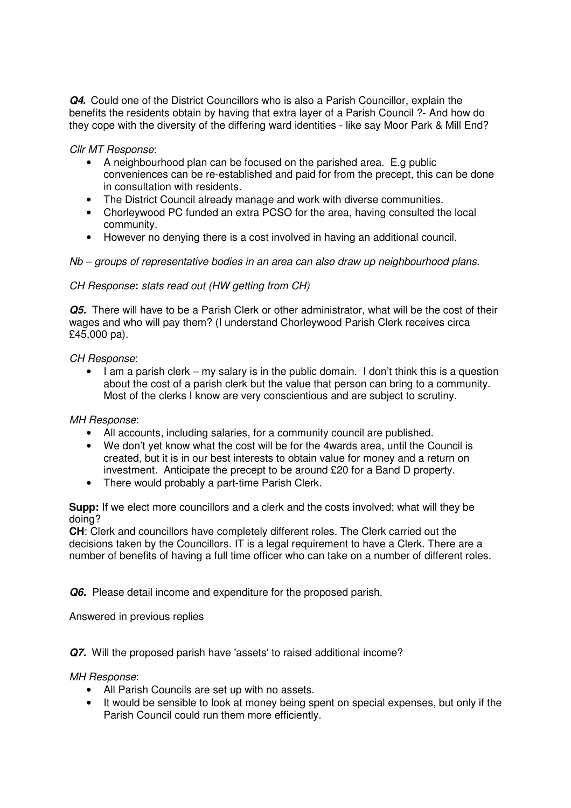*Q4.* Could one of the District Councillors who is also a Parish Councillor, explain the benefits the residents obtain by having that extra layer of a Parish Council ?- And how do they cope with the diversity of the differing ward identities - like say Moor Park & Mill End?

*Cllr MT Response*:

- A neighbourhood plan can be focused on the parished area. E.g public conveniences can be re-established and paid for from the precept, this can be done in consultation with residents.
- The District Council already manage and work with diverse communities.
- Chorleywood PC funded an extra PCSO for the area, having consulted the local community.
- However no denying there is a cost involved in having an additional council.

*Nb – groups of representative bodies in an area can also draw up neighbourhood plans.* 

*CH Response***:** *stats read out (HW getting from CH)* 

*Q5.* There will have to be a Parish Clerk or other administrator, what will be the cost of their wages and who will pay them? (I understand Chorleywood Parish Clerk receives circa £45,000 pa).

# *CH Response*:

• I am a parish clerk – my salary is in the public domain. I don't think this is a question about the cost of a parish clerk but the value that person can bring to a community. Most of the clerks I know are very conscientious and are subject to scrutiny.

## *MH Response*:

- All accounts, including salaries, for a community council are published.
- We don't yet know what the cost will be for the 4wards area, until the Council is created, but it is in our best interests to obtain value for money and a return on investment. Anticipate the precept to be around £20 for a Band D property.
- There would probably a part-time Parish Clerk.

**Supp:** If we elect more councillors and a clerk and the costs involved; what will they be doing?

**CH**: Clerk and councillors have completely different roles. The Clerk carried out the decisions taken by the Councillors. IT is a legal requirement to have a Clerk. There are a number of benefits of having a full time officer who can take on a number of different roles.

**Q6.** Please detail income and expenditure for the proposed parish.

Answered in previous replies

**Q7.** Will the proposed parish have 'assets' to raised additional income?

## *MH Response*:

- All Parish Councils are set up with no assets.
- It would be sensible to look at money being spent on special expenses, but only if the Parish Council could run them more efficiently.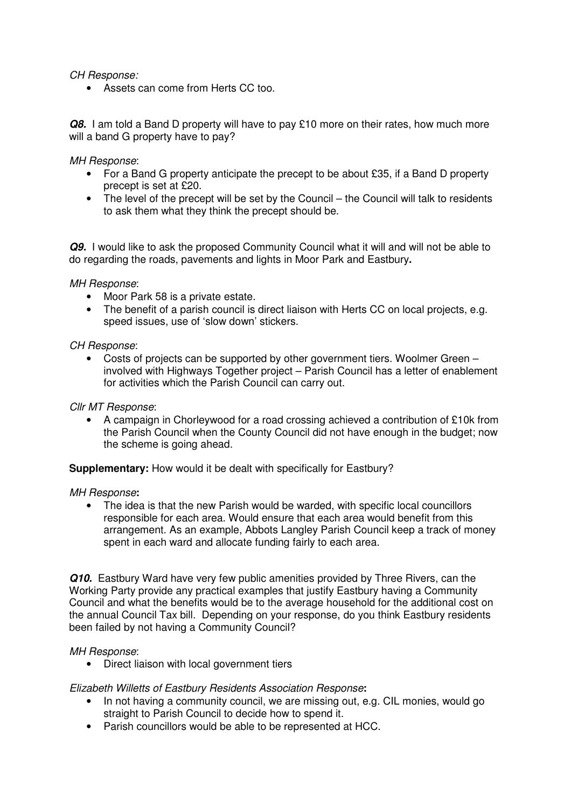*CH Response:*

• Assets can come from Herts CC too.

*Q8.* I am told a Band D property will have to pay £10 more on their rates, how much more will a band G property have to pay?

#### *MH Response*:

- For a Band G property anticipate the precept to be about £35, if a Band D property precept is set at £20.
- The level of the precept will be set by the Council the Council will talk to residents to ask them what they think the precept should be.

**Q9.** I would like to ask the proposed Community Council what it will and will not be able to do regarding the roads, pavements and lights in Moor Park and Eastbury**.** 

#### *MH Response*:

- Moor Park 58 is a private estate.
- The benefit of a parish council is direct liaison with Herts CC on local projects, e.g. speed issues, use of 'slow down' stickers.

### *CH Response*:

• Costs of projects can be supported by other government tiers. Woolmer Green – involved with Highways Together project – Parish Council has a letter of enablement for activities which the Parish Council can carry out.

#### *Cllr MT Response*:

• A campaign in Chorleywood for a road crossing achieved a contribution of £10k from the Parish Council when the County Council did not have enough in the budget; now the scheme is going ahead.

**Supplementary:** How would it be dealt with specifically for Eastbury?

#### *MH Response***:**

• The idea is that the new Parish would be warded, with specific local councillors responsible for each area. Would ensure that each area would benefit from this arrangement. As an example, Abbots Langley Parish Council keep a track of money spent in each ward and allocate funding fairly to each area.

*Q10.* Eastbury Ward have very few public amenities provided by Three Rivers, can the Working Party provide any practical examples that justify Eastbury having a Community Council and what the benefits would be to the average household for the additional cost on the annual Council Tax bill. Depending on your response, do you think Eastbury residents been failed by not having a Community Council?

#### *MH Response*:

• Direct liaison with local government tiers

## *Elizabeth Willetts of Eastbury Residents Association Response***:**

- In not having a community council, we are missing out, e.g. CIL monies, would go straight to Parish Council to decide how to spend it.
- Parish councillors would be able to be represented at HCC.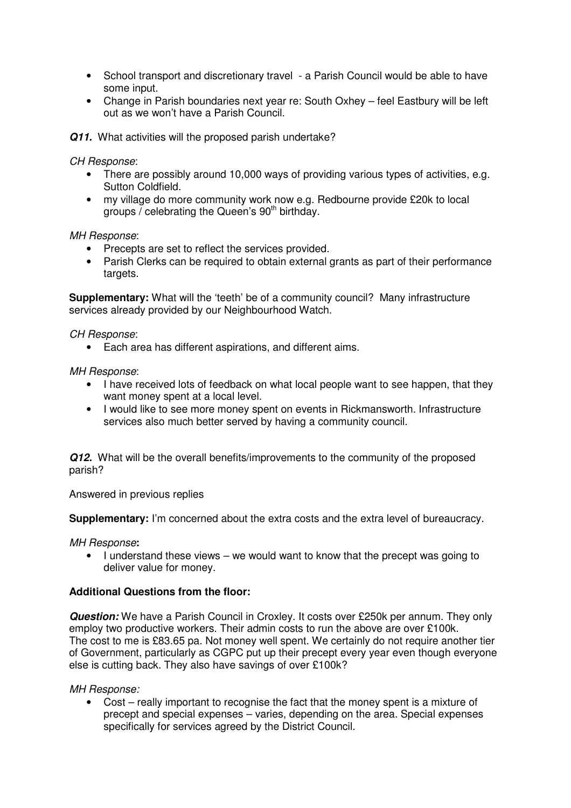- School transport and discretionary travel a Parish Council would be able to have some input.
- Change in Parish boundaries next year re: South Oxhey feel Eastbury will be left out as we won't have a Parish Council.

**Q11.** What activities will the proposed parish undertake?

*CH Response*:

- There are possibly around 10,000 ways of providing various types of activities, e.g. Sutton Coldfield.
- my village do more community work now e.g. Redbourne provide £20k to local groups  $\overline{\prime}$  celebrating the Queen's 90<sup>th</sup> birthday.

*MH Response*:

- Precepts are set to reflect the services provided.
- Parish Clerks can be required to obtain external grants as part of their performance targets.

**Supplementary:** What will the 'teeth' be of a community council? Many infrastructure services already provided by our Neighbourhood Watch.

*CH Response*:

• Each area has different aspirations, and different aims.

*MH Response*:

- I have received lots of feedback on what local people want to see happen, that they want money spent at a local level.
- I would like to see more money spent on events in Rickmansworth. Infrastructure services also much better served by having a community council.

*Q12.* What will be the overall benefits/improvements to the community of the proposed parish?

Answered in previous replies

**Supplementary:** I'm concerned about the extra costs and the extra level of bureaucracy.

*MH Response***:** 

• I understand these views – we would want to know that the precept was going to deliver value for money.

## **Additional Questions from the floor:**

*Question:* We have a Parish Council in Croxley. It costs over £250k per annum. They only employ two productive workers. Their admin costs to run the above are over £100k. The cost to me is £83.65 pa. Not money well spent. We certainly do not require another tier of Government, particularly as CGPC put up their precept every year even though everyone else is cutting back. They also have savings of over £100k?

*MH Response:*

• Cost – really important to recognise the fact that the money spent is a mixture of precept and special expenses – varies, depending on the area. Special expenses specifically for services agreed by the District Council.